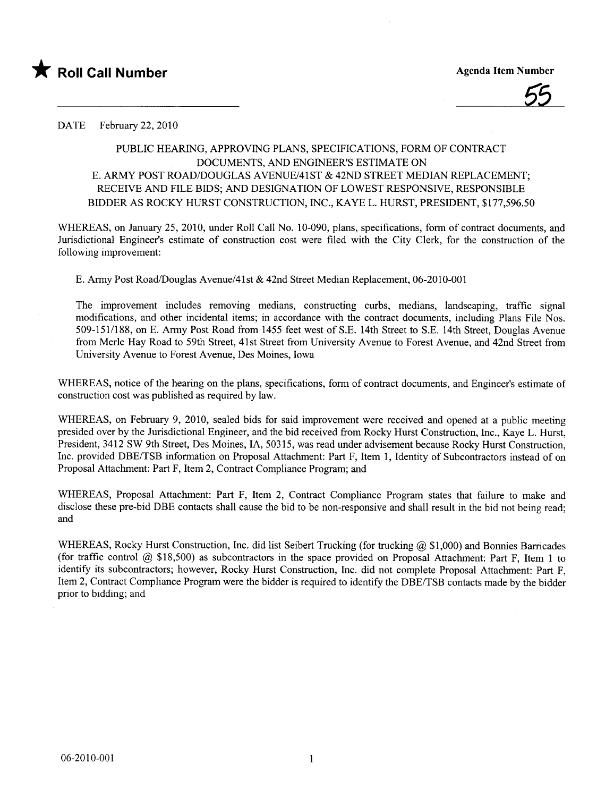



DATE February 22, 2010

## PUBLIC HEARING, APPROVING PLANS, SPECIFICATIONS, FORM OF CONTRACT DOCUMENTS, AND ENGINEER'S ESTIMATE ON E. ARMY POST ROAD/DOUGLAS AVENUE/41ST & 42ND STREET MEDIAN REPLACEMENT: RECEIVE AND FILE BIDS; AND DESIGNATION OF LOWEST RESPONSIVE, RESPONSIBLE BIDDER AS ROCKY HURST CONSTRUCTION, INC., KAYE L. HURST, PRESIDENT, \$177,596.50

WHEREAS, on January 25, 2010, under Roll Call No. 10-090, plans, specifications, form of contract documents, and Jurisdictional Engineer's estimate of construction cost were fied with the City Clerk, for the construction of the following improvement:

E. Army Post Road/ouglas Avenue/41st & 42nd Street Median Replacement, 06-2010-001

The improvement includes removing medians, constructing curbs, medians, landscaping, traffic signal modifications, and other incidental items; in accordance with the contract documents, including Plans File Nos. 509-151/188, on E. Army Post Road from 1455 feet west of S.E. 14th Street to S.E. 14th Street, Douglas Avenue from Merle Hay Road to 59th Street, 41st Street from University Avenue to Forest Avenue, and 42nd Street from University Avenue to Forest Avenue, Des Moines, Iowa

WHEREAS, notice of the hearing on the plans, specifications, form of contract documents, and Engineer's estimate of construction cost was published as required by law.

WHEREAS, on February 9, 2010, sealed bids for said improvement were received and opened at a public meeting presided over by the Jurisdictional Engineer, and the bid received from Rocky Hurst Construction, Inc., Kaye L. Hurst, President, 3412 SW 9th Street, Des Moines, lA, 50315, was read under advisement because Rocky Hurst Construction, Inc. provided DBE/TSB information on Proposal Attachment: Part F, Item 1, Identity of Subcontractors instead of on Proposal Attachment: Part F, Item 2, Contract Compliance Program; and

WHEREAS, Proposal Attachment: Part F, Item 2, Contract Compliance Program states that failure to make and disclose these pre-bid DBE contacts shall cause the bid to be non-responsive and shall result in the bid not being read; and

WHEREAS, Rocky Hurst Construction, Inc. did list Seibert Trucking (for trucking  $(2)$ , \$1,000) and Bonnies Barricades (for traffic control  $@$  \$18,500) as subcontractors in the space provided on Proposal Attachment: Part F, Item 1 to identify its subcontractors; however, Rocky Hurst Construction, Inc. did not complete Proposal Attachment: Part F, Item 2, Contract Compliance Program were the bidder is required to identify the DBE/TSB contacts made by the bidder prior to bidding; and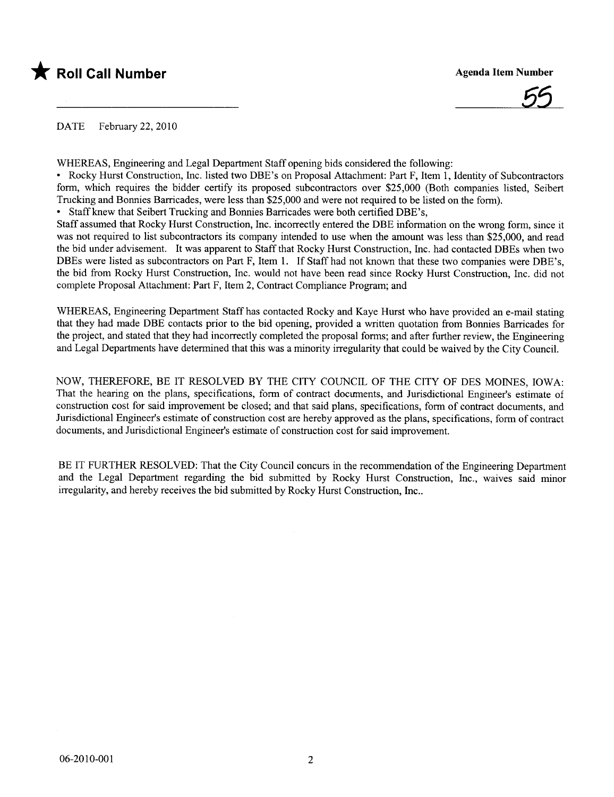



DATE February 22, 2010

WHEREAS, Engineering and Legal Department Staff opening bids considered the following:

• Rocky Hurst Construction, Inc. listed two DBE's on Proposal Attachment: Part F, Item 1, Identity of Subcontractors form, which requires the bidder certify its proposed subcontractors over \$25,000 (Both companies listed, Seibert Trucking and Bonnies Barrcades, were less than \$25,000 and were not required to be listed on the form).

. Staff knew that Seibert Trucking and Bonnies Barrcades were both certified DBE's,

Staff assumed that Rocky Hurst Construction, Inc. incorrectly entered the DBE information on the wrong form, since it was not required to list subcontractors its company intended to use when the amount was less than \$25,000, and read the bid under advisement. It was apparent to Staff that Rocky Hurst Construction, Inc. had contacted DBEs when two DBEs were listed as subcontractors on Part F, Item 1. If Staff had not known that these two companies were DBE's, the bid from Rocky Hurst Construction, Inc. would not have been read since Rocky Hurst Construction, Inc. did not complete Proposal Attachment: Part F, Item 2, Contract Compliance Program; and

WHEREAS, Engineering Department Staff has contacted Rocky and Kaye Hurst who have provided an e-mail stating that they had made DBE contacts prior to the bid opening, provided a written quotation from Bonnies Barrcades for the project, and stated that they had incorrectly completed the proposal forms; and after furter review, the Engineering and Legal Departments have determined that this was a minority irregularity that could be waived by the City CounciL.

NOW, THEREFORE, BE IT RESOLVED BY THE CITY COUNCIL OF THE CITY OF DES MOINES, IOWA: That the hearing on the plans, specifications, form of contract docmnents, and Jurisdictional Engineer's estimate of construction cost for said improvement be closed; and that said plans, specifications, form of contract documents, and Jurisdictional Engineer's estimate of construction cost are hereby approved as the plans, specifications, form of contract documents, and Jurisdictional Engineer's estimate of construction cost for said improvement.

BE IT FURTHER RESOLVED: That the City Council concurs in the recommendation of the Engineering Department and the Legal Department regarding the bid submitted by Rocky Hurst Construction, Inc., waives said minor irregularity, and hereby receives the bid submitted by Rocky Hurst Construction, Inc..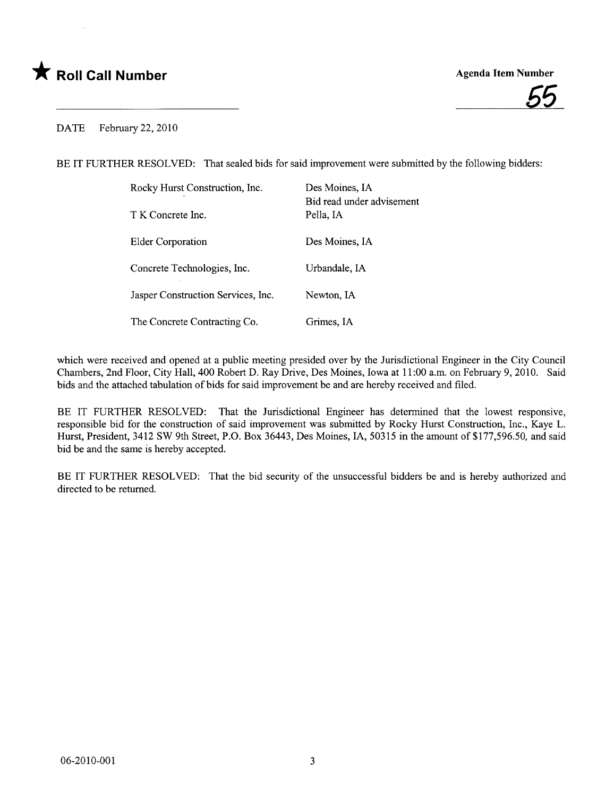## \* Roll Call Number Agenda Item Number



## DATE February 22, 2010

BE IT FURTHER RESOLVED: That sealed bids for said improvement were submitted by the following bidders:

| Rocky Hurst Construction, Inc.     | Des Moines, IA<br>Bid read under advisement |
|------------------------------------|---------------------------------------------|
| T K Concrete Inc.                  | Pella, IA                                   |
| Elder Corporation                  | Des Moines, IA                              |
| Concrete Technologies, Inc.        | Urbandale, IA                               |
| Jasper Construction Services, Inc. | Newton, IA                                  |
| The Concrete Contracting Co.       | Grimes. IA                                  |

which were received and opened at a public meeting presided over by the Jurisdictional Engineer in the City Council Chambers, 2nd Floor, City Hall, 400 Robert D. Ray Drive, Des Moines, Iowa at 11:00 a.m. on February 9, 2010. Said bids and the attached tabulation of bids for said improvement be and are hereby received and fied.

BE IT FURTHER RESOLVED: That the Jurisdictional Engineer has determined that the lowest responsive, responsible bid for the construction of said improvement was submitted by Rocky Hurst Construction, Inc., Kaye L. Hurst, President, 3412 SW 9th Street, P.O. Box 36443, Des Moines, lA, 50315 in the amount of \$177,596.50, and said bid be and the same is hereby accepted.

BE IT FURTHER RESOLVED: That the bid security of the unsuccessful bidders be and is hereby authorized and directed to be returned.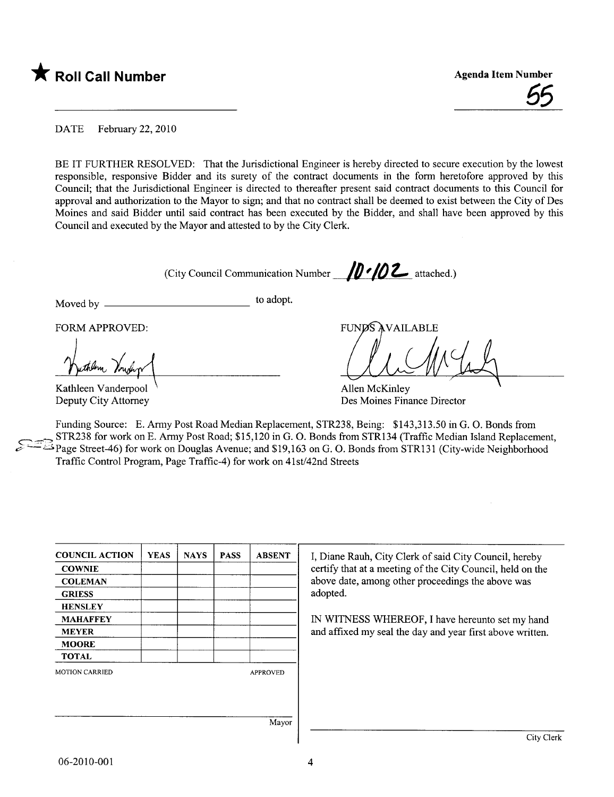

<u>55</u>

DATE February 22, 2010

BE IT FURTHER RESOLVED: That the Jurisdictional Engineer is hereby directed to secure execution by the lowest responsible, responsive Bidder and its surety of the contract documents in the form heretofore approved by this Council; that the Jurisdictional Engineer is directed to thereafter present said contract documents to this Council for approval and authorization to the Mayor to sign; and that no contract shall be deemed to exist between the City of Des Moines and said Bidder until said contract has been executed by the Bidder, and shall have been approved by this Council and executed by the Mayor and attested to by the City Clerk.

(City Council Communication Number  $\sqrt{0.2}$  attached.)

Moved by to adopt.

FORM APPROVED:<br>muther Vouchy

Kathleen Vanderpool \ Deputy City Attorney

**FUNDS AVAILABLE** 

Allen McKinley Des Moines Finance Director

Funding Source: E. Army Post Road Median Replacement, STR238, Being: \$143,313.50 in G. O. Bonds from STR238 for work on E. Army Post Road; \$15,120 in G. O. Bonds from STR134 (Traffic Median Island Replacement, Page Street-46) for work on Douglas Avenue; and \$19,163 on G. O. Bonds from STR131 (City-wide Neighborhood Traffic Control Program, Page Traffic-4) for work on 41st/42nd Streets

| <b>COUNCIL ACTION</b> | <b>YEAS</b> | <b>NAYS</b> | <b>PASS</b> | <b>ABSENT</b>   | I, Diane Rauh, City Clerk of said City Council, hereby     |
|-----------------------|-------------|-------------|-------------|-----------------|------------------------------------------------------------|
| <b>COWNIE</b>         |             |             |             |                 | certify that at a meeting of the City Council, held on the |
| <b>COLEMAN</b>        |             |             |             |                 | above date, among other proceedings the above was          |
| <b>GRIESS</b>         |             |             |             |                 | adopted.                                                   |
| <b>HENSLEY</b>        |             |             |             |                 |                                                            |
| <b>MAHAFFEY</b>       |             |             |             |                 | IN WITNESS WHEREOF, I have hereunto set my hand            |
| <b>MEYER</b>          |             |             |             |                 | and affixed my seal the day and year first above written.  |
| <b>MOORE</b>          |             |             |             |                 |                                                            |
| <b>TOTAL</b>          |             |             |             |                 |                                                            |
| <b>MOTION CARRIED</b> |             |             |             | <b>APPROVED</b> |                                                            |
|                       |             |             |             |                 |                                                            |
|                       |             |             |             | Mayor           |                                                            |
|                       |             |             |             |                 | City Clerk                                                 |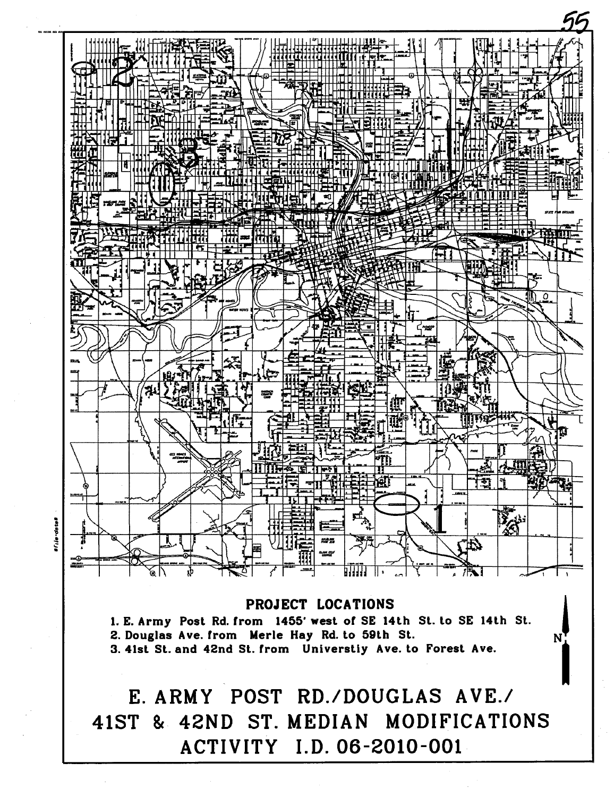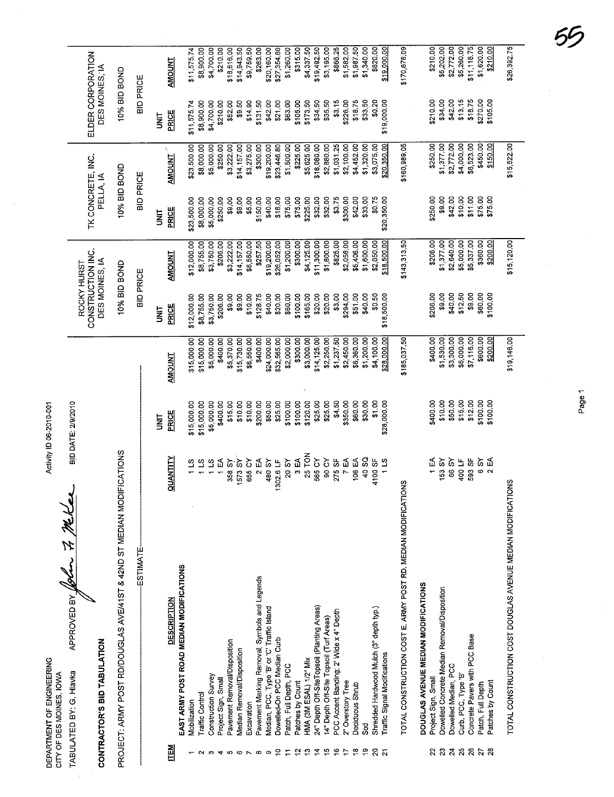|                           |                          | APPROVED BY 1894        |
|---------------------------|--------------------------|-------------------------|
| DEPARTMENT OF ENGINEERING | CITY OF DES MOINES, IOWA | TABULATED BY: G. Hlavka |

Activity ID 06-2010-001

ELDER CORPORATION<br>DES MOINES, IA

TK CONCRETE, INC.<br>PELLA, IA

ROCKY HURST<br>CONSTRUCTION INC.<br>DES MOINES, IA

10% BID BOND

10% BID BOND

10% BID BOND

BID DATE: 2/9/2010 In 7 Miles

## CONTRACTOR'S BID TABULATION

PROJECT: ARMY POST RD/DOUGLAS AVE/41ST & 42ND ST MEDIAN MODIFICATIONS

|                | ESTIMATE                                                      |                  |             |                | <b>BID PRICE</b> |               | <b>BID PRICE</b>   |              | <b>BID PRICE</b> |               |
|----------------|---------------------------------------------------------------|------------------|-------------|----------------|------------------|---------------|--------------------|--------------|------------------|---------------|
|                |                                                               |                  |             |                |                  |               |                    |              |                  |               |
|                |                                                               |                  | <b>S</b>    |                | ist<br>S         |               | š                  |              | š                |               |
| N3 TL          | DESCRIPTION                                                   | QUANTITY         | PRICE       | <b>TNUCIMA</b> | PRICE            | <b>ENLOWA</b> | PRICE              | AMOUNT       | PRICE            | <b>AMOUNT</b> |
|                | EAST ARMY POST ROAD MEDIAN MODIFICATIONS                      |                  |             |                |                  |               |                    |              |                  |               |
|                | Mobilization                                                  |                  | \$15,000.00 | \$15,000.00    | \$12,000.00      | \$12,000.00   | \$23,500.00        | \$23,500.00  | \$11,575.74      | \$11,575.74   |
|                | <b>Traffic Control</b>                                        |                  | \$15,000.00 | \$15,000.00    | \$8,755.00       | \$8,755.00    | \$8,000.00         | \$8,000.00   | \$8,900.00       | \$8,900.00    |
|                | Construction Survey                                           | 115              | \$5,000.00  | \$5,000.00     | \$3,750.00       | \$3,750.00    | \$5,000.00         | \$5,000.00   | \$4,700.00       | \$4,700.00    |
|                | Project Sign, Small                                           | 1 EA             | \$400,00    | \$400.00       | \$206.00         | \$206.00      | \$250,00           | \$250.00     | \$210.00         | \$210,00      |
| <b>LO</b>      | Pavement Removal/Disposition                                  | 358 SY           | \$15.00     | \$5,370.00     | \$9.00           | \$3,222.00    | \$9.00             | \$3,222.00   | \$52.00          | \$18,616.00   |
| ဖ              | Median Removal/Disposition                                    | 1573 SY          | \$10.00     | \$15,730.00    | \$9.00           | \$14,157.00   | \$9.00             | \$14,157.00  | \$9.50           | \$14,943.50   |
|                | Excavation                                                    | 655 CY           | \$10.00     | \$6,550.00     | \$10.00          | \$6,550.00    | \$5.00             | \$3,275.00   | \$14.90          | \$9,759.50    |
| œ              | Pavement Marking Removal, Symbols and Legends                 | 2 EA             | \$200.00    | \$400.00       | \$128.75         | \$257.50      | \$150.00           | \$300.00     | \$131.50         | \$263.00      |
| တ              | Median, PCC, Type 'B' or 'C' Traffic Island                   | 480 SY           | \$50.00     | \$24,000.00    | \$40.00          | \$19,200.00   | \$40.00            | \$19,200.00  | \$42.00          | \$20,160.00   |
|                | Dowelled-On PCC Median Curb                                   | 1302.6 LF        | \$25.00     | \$32,565.00    | \$20.00          | \$26,052.00   | \$18.00            | \$23,446.80  | \$21.00          | \$27,354.60   |
|                | Patch, Full Depth, PCC                                        | 20 SY            | \$100.00    | \$2,000.00     | \$60.00          | \$1,200.00    | \$75.00            | \$1,500.00   | \$63.00          | \$1,260.00    |
|                | Patches by Count                                              | 3 EA             | \$100.00    | \$300.00       | \$100.00         | \$300.00      | \$75.00            | \$225.00     | \$105.00         | \$315.00      |
|                | HMA (3M ESAL) 1/2" Mix                                        | 25 TON           | \$120.00    | \$3,000.00     | \$165.00         | \$4,125.00    | \$225.00           | \$5,625.00   | \$173.50         | \$4,337.50    |
|                | 24" Depth Off-SiteTopsoil (Planting Areas)                    | 565 CY           | \$25.00     | \$14,125.00    | \$20.00          | \$11,300.00   | \$32.00            | \$18,080.00  | \$34.50          | \$19,492.50   |
|                | 14" Depth Off-Site Topsoil (Turf Areas)                       | 90 CY            | \$25.00     | \$2,250.00     | \$20.00          | \$1,800.00    | \$32.00            | \$2,880.00   | \$35.50          | \$3,195.00    |
|                | PCC Accent Banding; 2' Wide x 4" Depth                        | 275 SF           | \$4.50      | \$1,237.50     | \$3.00           | \$825.00      | \$3.75             | \$1,031.25   | \$3.15           | \$866.25      |
|                | 2" Overstory Tree                                             | 7 EA             | \$350.00    | \$2,450.00     | \$294.00         | \$2,058.00    | \$300.00           | \$2,100.00   | \$226.00         | \$1,582.00    |
| ٩              | Deciduous Shrub                                               | 106 EA           | \$60.00     | \$6,360.00     | \$51.00          | \$5,406.00    | \$42.00            | \$4,452.00   | \$18.75          | \$1,987.50    |
| စ္             | 38<br>S                                                       | 40 SQ            | \$30.00     | \$1,200.00     | \$40.00          | \$1,600.00    | \$33.00            | \$1,320.00   | \$33.50          | \$1,340.00    |
| ន              | Shredded Hardwood Mulch (3" depth typ.)                       | 1100 SF          | \$1.00      | \$4,100.00     | \$0.50           | \$2,050.00    | \$0.75             | \$3,075.00   | \$0.20           | \$820,00      |
| ត              | <b>Fraffic Signal Modifications</b>                           | $1\overline{15}$ | \$28,000.00 | \$28,000.00    | \$18,500.00      | \$18,500.00   | \$20,350.00        | \$20,350.00  | \$19,000.00      | \$19,000.00   |
|                | TOTAL CONSTRUCTION COST E. ARMY POST RD. MEDIAN MODIFICATIONS |                  |             | \$185,037.50   |                  | \$143,313.50  |                    | \$160,989.05 |                  | \$170,678.09  |
|                | DOUGLAS AVENUE MEDIAN MODIFICATIONS                           |                  |             |                |                  |               |                    |              |                  |               |
| 2              | Project Sign, Small                                           | 1<br>EA          | \$400.00    | \$400.00       | \$206.00         | \$206.00      | \$250.00           | \$250.00     | \$210.00         | \$210.00      |
| $\mathbb{S}^2$ | Dowelled Concrete Median Removal/Disposition                  | 153 SY           | \$10.00     | \$1,530.00     | \$9.00           | \$1,377.00    | \$9.00             | \$1,377.00   | \$34.00          | \$5,202.00    |
| $\mathbf{z}$   | Dowelled Median, PCC                                          | 66 SY            | \$50.00     | \$3,300.00     | \$40.00          | \$2,640.00    | \$42.00            | \$2,772.00   | \$42.00          | \$2,772.00    |
| $25\,$         | Curb, PCC, Type 'B'                                           | 400 LF           | \$15.00     | \$6,000.00     | \$12.50          | \$5,000.00    | \$10.00            | \$4,000.00   | \$13,15          | \$5,260.00    |
| $26\,$         | Concrete Pavers with PCC Base                                 | 593 SF           | \$12.00     | \$7,116.00     | \$9.00           | \$5,337.00    | \$11.00            | \$6,523.00   | \$18.75          | \$11,118.75   |
|                | Patch, Full Depth                                             | ప<br>Ø           | \$100.00    | \$600.00       | \$60.00          | \$360.00      | \$75.00<br>\$75.00 | \$450.00     | \$270.00         | \$1,620.00    |
|                | Patches by Count                                              | 2 EA             | \$100.00    | \$200.00       | \$100.00         | \$200.00      |                    | \$150.00     | \$105.00         | \$210.00      |

TOTAL CONSTRUCTION COST DOUGLAS AVENUE MEDIAN MODIFICATIONS

\$26,392.75

\$15,522.00

\$15,120.00

\$19,146.00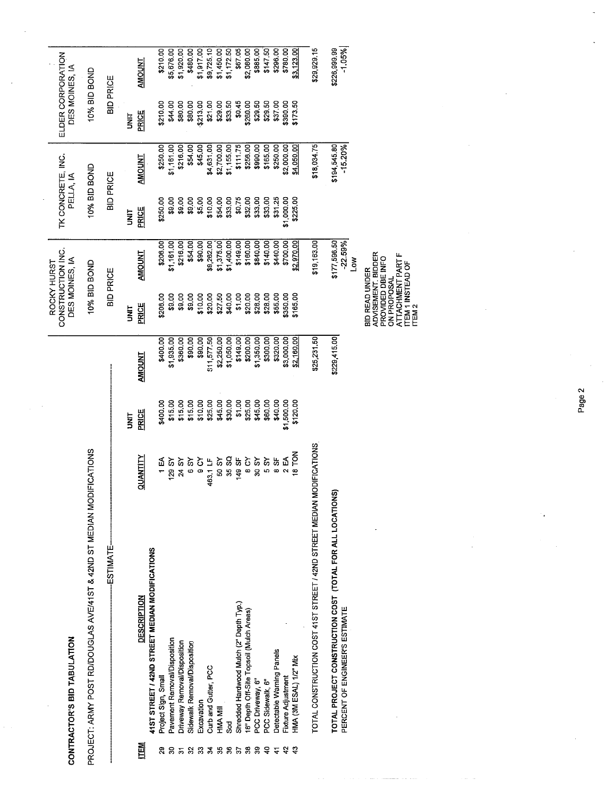|                     | CONTRACTOR'S BID TABULATION                                                               |                 |                    |                        | CONSTRUCTION INC.<br>DES MOINES, IA<br>ROCKY HURST                                            |                           | TK CONCRETE, INC.<br>PELLA, IA |                           | ELDER CORPORATION<br>DES MOINES, IA |                          |
|---------------------|-------------------------------------------------------------------------------------------|-----------------|--------------------|------------------------|-----------------------------------------------------------------------------------------------|---------------------------|--------------------------------|---------------------------|-------------------------------------|--------------------------|
|                     | PROJECT: ARMY POST RD/DOUGLAS AVE/41ST & 42ND ST MEDIAN MODIFICATIONS                     |                 |                    |                        | 10% BID BOND                                                                                  |                           | 10% BID BOND                   |                           | 10% BID BOND                        |                          |
|                     | <b>ESTIMATE</b>                                                                           |                 |                    |                        | <b>BID PRICE</b>                                                                              |                           | <b>BID PRICE</b>               |                           | <b>BID PRICE</b>                    |                          |
|                     |                                                                                           |                 | <b>TRU</b>         |                        | <b>SINT</b>                                                                                   |                           | <b>SP</b>                      |                           | <b>NHT</b>                          |                          |
| <b>TEM</b>          | <b>DESCRIPTION</b>                                                                        | <b>QUANTITY</b> | <b>PRICE</b>       | <b>AMOUNT</b>          | PRICE                                                                                         | <b>AMOUNT</b>             | PRICE                          | <b>AMOUNT</b>             | <b>PRICE</b>                        | AMOUNT                   |
|                     | 41ST STREET / 42ND STREET MEDIAN MODIFICATIONS                                            |                 |                    |                        |                                                                                               |                           |                                |                           |                                     |                          |
|                     | Project Sign, Small                                                                       | 1 EA            | \$400.00           | \$400.00               | \$206.00                                                                                      | \$206.00                  | \$250.00                       | \$250.00                  | \$210.00                            | \$210.00                 |
| వ్ల                 | Pavement Removal/Disposition                                                              | 129 SY<br>24 SY | \$15.00<br>\$15.00 | \$1,935.00<br>\$360.00 | \$9.00<br>\$9.00                                                                              | \$1,161.00<br>\$216.00    | \$9.00<br>\$9.00               | \$1,161.00<br>\$216.00    | \$44.00<br>\$80.00                  | \$5,676.00<br>\$1,920.00 |
| $\mathfrak{L}$<br>5 | Driveway Removal/Disposition<br>Sidewalk Removal/Disposition                              | 6SY             | \$15.00            | \$90.00                | \$9.00                                                                                        | \$54.00                   | \$9.00                         | \$54.00                   | \$80.00                             | \$480.00                 |
| $\mathbb{S}^2$      | Excavation                                                                                | δ<br>Θ          | \$10.00            | \$90.00                | \$10.00                                                                                       | \$90.00                   | \$5.00                         | \$45.00                   | \$213.00                            | \$1,917.00               |
| $\mathbf{z}$        | Curb and Gutter, PCC                                                                      | 463.1 LF        | \$25.00            | \$11,577.50            | \$20.00                                                                                       | \$9,262.00                | \$10.00                        | \$4,631.00                | \$21.00                             | \$9,725.10               |
|                     | HMA MII                                                                                   | 50 SY           | \$45.00            | \$2,250.00             | \$27.50                                                                                       | \$1,375.00                | \$54.00                        | \$2,700.00                | \$29.00                             | \$1,450.00               |
| 585                 | S <sub>o</sub> d                                                                          | 35 SQ           | \$30.00            | \$1,050.00             | \$40.00                                                                                       | \$1,400.00                | \$33.00                        | \$1,155.00                | \$33.50                             | \$1,172.50               |
|                     | Shredded Hardwood Mulch (2" Depth Typ.)                                                   | 149 SF          | \$1.00             | \$149.00               | \$1,00                                                                                        | \$149.00                  | \$0.75                         | \$111.75                  | \$0.45                              | \$67.05                  |
| 38                  | 18" Depth Off-Site Topsoil (Mulch Areas)                                                  | 8 CY            | \$25.00            | \$200.00               | \$20.00                                                                                       | \$160.00                  | \$32.00                        | \$256.00                  | \$260.00                            | \$2,080.00               |
| ္တ                  | PCC Driveway, 6"                                                                          | 30 SY           | \$45.00            | \$1,350.00             | \$28.00                                                                                       | \$840.00                  | \$33.00                        | \$990.00                  | \$29.50                             | \$885.00                 |
| $\frac{1}{4}$       | PCC Sidewalk, 6"                                                                          | 5S              | \$60.00            | \$300.00               | \$28.00                                                                                       | \$140.00                  | \$33,00                        | \$165.00                  | \$29,50                             | \$147.50                 |
| $\frac{1}{4}$       | Detectable Warning Panels                                                                 | 35              | \$40.00            | \$320.00               | \$55.00                                                                                       | \$440.00                  | \$31.25                        | \$250.00                  | \$3700                              | \$296.00                 |
| $\ddot{v}$          | Fixture Adjustment                                                                        | 2 EA            | \$1,500.00         | \$3,000.00             | \$350.00                                                                                      | \$700.00                  | \$1,000.00                     | \$2,000.00                | \$390.00                            | \$780.00                 |
| ्                   | HMA (3M ESAL) 1/2" Mix                                                                    | <b>NOL 81</b>   | \$120.00           | \$2,160.00             | \$165.00                                                                                      | \$2,970.00                | \$225.00                       | \$4,050.00                | \$173.50                            | \$3,123.00               |
|                     | TOTAL CONSTRUCTION COST 41ST STREET / 42ND STREET MEDIAN                                  | MODIFICATIONS   |                    | \$25,231.50            |                                                                                               | \$19,163.00               |                                | \$18,034.75               |                                     | \$29,929.15              |
|                     | TOTAL PROJECT CONSTRUCTION COST (TOTAL FOR ALL LOCATION<br>PERCENT OF ENGINEER'S ESTIMATE | ៙               |                    | \$229,415.00           |                                                                                               | \$177,596,50<br>$-22.59%$ |                                | \$194,545.80<br>$-15.20%$ |                                     | $-1.05%$<br>\$226,999.99 |
|                     |                                                                                           |                 |                    |                        |                                                                                               | <b>No</b>                 |                                |                           |                                     |                          |
|                     |                                                                                           |                 |                    |                        | ADVISEMENT. BIDDER<br>ATTACHMENT PART F<br>PROVIDED DBE INFO<br>BID READ UNDER<br>ON PROPOSAL |                           |                                |                           |                                     |                          |
|                     |                                                                                           |                 |                    |                        | <b>ITEM 1 INSTEAD OF</b><br>ITEM 2                                                            |                           |                                |                           |                                     |                          |

 $\bar{z}$ 

Page 2

÷.

 $\hat{\boldsymbol{\beta}}$ 

 $\frac{1}{2}$ 

للأرباء

arangan.

 $\overline{a}$ 

 $\hat{\boldsymbol{\beta}}$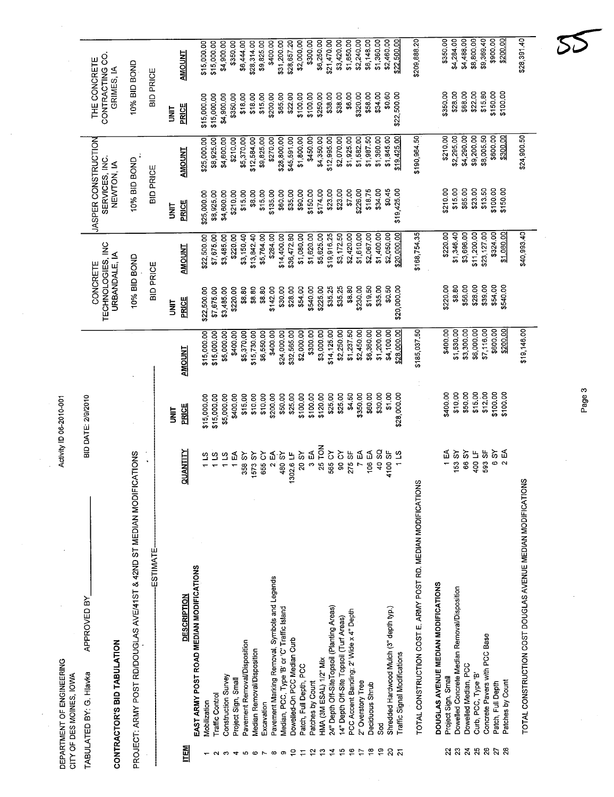|                | DEPARTMENT OF ENGINEERING<br>CITY OF DES MOINES, IOWA  |                                                                |                         | Activity ID 06-2010-001   |                            |                                                |                            |                                                     |                            |                                               |                            |
|----------------|--------------------------------------------------------|----------------------------------------------------------------|-------------------------|---------------------------|----------------------------|------------------------------------------------|----------------------------|-----------------------------------------------------|----------------------------|-----------------------------------------------|----------------------------|
|                | CONTRACTOR'S BID TABULATION<br>TABULATED BY: G. Hlavka | APPROVED BY                                                    |                         | <b>BID DATE: 2/9/2010</b> |                            | TECHNOLOGIES, INC<br>URBANDALE, IA<br>CONCRETE |                            | JASPER CONSTRUCTION<br>SERVICES, INC.<br>NEWTON, IA |                            | CONTRACTING CO.<br>THE CONCRETE<br>GRIMES, IA |                            |
|                |                                                        | PROJECT: ARMY POST RD/DOUGLAS AVE/41ST & 42ND ST MEDIAN MODIFI | CATIONS                 |                           |                            | 10% BID BOND                                   |                            | 10% BID BOND                                        |                            | 10% BID BOND                                  |                            |
|                |                                                        |                                                                |                         |                           |                            |                                                |                            |                                                     |                            |                                               |                            |
|                |                                                        | <b>ESTIMATE</b>                                                |                         |                           |                            | <b>BID PRICE</b>                               |                            | <b>BID PRICE</b>                                    |                            | BID PRICE                                     |                            |
|                |                                                        |                                                                |                         | is<br>S                   |                            | is<br>S                                        |                            | <b>SP</b>                                           |                            | İML                                           |                            |
| 폡              |                                                        | <b>DESCRIPTION</b>                                             | <b>QUANTITY</b>         | PRICE                     | <b>AMOUNT</b>              | PRICE                                          | <b>AMOUNT</b>              | <b>PRICE</b>                                        | <b>AMOUNT</b>              | PRICE                                         | <b>AMOUNT</b>              |
|                | EAST ARMY POST ROAD MEDIAN MODIFICATIONS               |                                                                |                         | \$15,000.00               | \$15,000.00                | \$22,500.00                                    | \$22,500.00                | \$25,000.00                                         | \$25,000.00                | \$15,000.00                                   | \$15,000.00                |
|                | <b>Traffic Control</b><br>Mobilization                 |                                                                | $\tilde{\mathbf{c}}$    | \$15,000.00               | \$15,000.00                | \$7,675.00                                     | \$7,675.00                 | \$8,925.00                                          | \$8,925.00                 | \$15,000.00                                   | \$15,000.00                |
| က              | Construction Survey                                    |                                                                | 115                     | \$5,000.00                | \$5,000.00                 | \$3,485.00                                     | \$3,485.00                 | \$4,600.00                                          | \$4,600.00                 | \$4,900.00                                    | \$4,900.00                 |
| 4              | Project Sign, Small                                    |                                                                | 1 EA                    | \$400.00                  | \$400.00                   | \$220.00                                       | \$220.00                   | \$210.00                                            | \$210.00                   | \$350,00                                      | \$350.00                   |
| Ю              | Pavement Removal/Disposition                           |                                                                | 358 SY                  | \$15.00                   | \$5,370.00                 | \$8.80                                         | \$3,150.40                 | \$15.00                                             | \$5,370.00                 | \$18.00                                       | \$6,444.00                 |
| $\circ$        | Median Removal/Disposition                             |                                                                | 1573 SY                 | \$10.00                   | \$15,730.00                | \$8.80                                         | \$13,842.40                | \$8.00                                              | \$12,584.00                | \$18.00                                       | \$28,314.00                |
| $\overline{ }$ | Excavation                                             |                                                                | 655 CY                  | \$10.00                   | \$6,550.00                 | \$8.80                                         | \$5,764.00                 | \$15.00                                             | \$9,825.00                 | \$15.00                                       | \$9,825.00                 |
| $\infty$       | Pavement Marking Removal, Symbols and Legends          |                                                                | 2EA                     | \$200.00                  | \$400.00                   | \$142.00                                       | \$284.00                   | \$135.00                                            | \$270.00                   | \$200.00                                      | \$400.00                   |
| တ              | Median, PCC, Type 'B' or 'C' Traffic Island            |                                                                | 480 SY<br>1302.6 LF     | \$50.00<br>\$25.00        | \$32,565.00<br>\$24,000.00 | \$30.00<br>\$28.00                             | \$14,400.00<br>\$36,472.80 | \$60.00<br>\$35.00                                  | \$28,800.00<br>\$45,591.00 | \$65.00<br>\$22.00                            | \$31,200.00<br>\$28,657.20 |
| ₽              | Dowelled-On PCC Median Curb                            |                                                                | 20 SY                   | \$100.00                  | \$2,000.00                 | \$54,00                                        | \$1,080.00                 | \$90,00                                             | \$1,800.00                 | \$100.00                                      | \$2,000.00                 |
| 5<br>Ξ         | Patch, Full Depth, PCC<br>Patches by Count             |                                                                | 3 EA                    | \$100.00                  | \$300.00                   | \$540.00                                       | \$1,620.00                 | \$150.00                                            | \$450.00                   | \$100.00                                      | \$300.00                   |
| ి              | HMA (3M ESAL) 1/2" Mix                                 |                                                                | 25 TON                  | \$120.00                  | \$3,000.00                 | \$225.00                                       | \$5,625.00                 | \$174.00                                            | \$4,350.00                 | \$250.00                                      | \$6,250.00                 |
| 4              | 24" Depth Off-SiteTopsoil (Planting Areas)             |                                                                | 565 CY                  | \$25.00                   | \$14,125.00                | \$35.25                                        | \$19,916.25                | \$23.00                                             | \$12,995.00                | \$38.00                                       | \$21,470.00                |
| $\overline{5}$ | 14" Depth Off-Site Topsoil (Turf Areas)                |                                                                | 90 CY                   | \$25.00                   | \$2,250.00                 | \$35.25                                        | \$3,172.50                 | \$23.00                                             | \$2,070.00                 | \$38.00                                       | \$3,420.00                 |
| °,             | PCC Accent Banding; 2' Wide x 4" Depth                 |                                                                | 275 SF                  | \$4.50                    | \$1,237.50                 | \$8.80                                         | \$2,420.00                 | \$7.00                                              | \$1,925.00                 | \$6.00                                        | \$1,650.00                 |
| 17             | 2" Overstory Tree                                      |                                                                | 7 EA                    | \$350.00                  | \$2,450.00                 | \$230.00                                       | \$1,610.00                 | \$226.00                                            | \$1,582.00                 | \$320.00                                      | \$2,240.00                 |
| $\frac{8}{1}$  | Deciduous Shrub                                        |                                                                | 106 EA                  | \$60.00                   | \$6,360.00                 | \$19.50                                        | \$2,067.00                 | \$18.75                                             | \$1,987.50                 | \$58.00                                       | \$6,148.00                 |
| စ္             | ჯ<br>თ                                                 |                                                                | 40 SQ                   | \$30.00                   | \$1,200.00                 | \$35.00                                        | \$1,400.00                 | \$34.00                                             | \$1,360.00                 | \$34.00                                       | \$1,360.00                 |
|                | Shredded Hardwood Mulch (3" depth typ.)                |                                                                | 4100 SF                 | \$1.00                    | \$4,100.00                 | \$0.50                                         | \$2,050.00                 | \$0.45                                              | \$1,845.00                 | \$0.60                                        | \$2,460.00                 |
|                | <b>Traffic Signal Modifications</b>                    |                                                                | $1\,$ LS                | \$28,000.00               | \$28,000.00                | \$20,000.00                                    | \$20,000.00                | \$19,425.00                                         | \$19,425.00                | \$22,500.00                                   | \$22,500.00                |
|                |                                                        | TOTAL CONSTRUCTION COST. E. ARMY POST RD. MEDIAN MODIFICATION  | ഗ്ഗ                     |                           | \$185,037.50               |                                                | \$168,754.35               |                                                     | \$190,964.50               |                                               | \$209,888.20               |
|                | DOUGLAS AVENUE MEDIAN MODIFICATIONS                    |                                                                |                         | \$400.00                  | \$400.00                   | \$220.00                                       | \$220.00                   | \$210.00                                            | \$210.00                   | \$350.00                                      | \$350.00                   |
| ង ឌ            | Project Sign, Small                                    |                                                                | 1<br>1                  |                           |                            | \$8.80                                         | \$1,346.40                 | \$15.00                                             | \$2,295.00                 | \$28.00                                       | \$4,284.00                 |
|                | Dowelled Concrete Median Removal/Disposition           |                                                                | 153 SY                  | \$10.00                   | \$1,530.00                 | \$56.00                                        | \$3,696.00                 | \$65.00                                             | \$4,290.00                 | \$68.00                                       | \$4,488.00                 |
| 24             | Dowelled Median, PCC                                   |                                                                | 66 SY<br>400 LF         | \$15.00<br>\$50.00        | \$3,300.00<br>\$6,000.00   | \$28.00                                        | \$11,200.00                | \$23.00                                             | \$9,200.00                 | \$22.00                                       | \$8,800.00                 |
| 25<br>26       | Concrete Pavers with PCC Base<br>Curb, PCC, Type 'B'   |                                                                | 593 SF                  | \$12.00                   | \$7,116.00                 | \$39.00                                        | \$23,127.00                | \$13.50                                             | \$8,005.50                 | \$15.80                                       | \$9,369.40                 |
| 27             | Patch, Full Depth                                      |                                                                | 88                      | \$100.00                  | \$600.00                   | \$54.00                                        | \$324.00                   | \$100.00                                            | \$600.00                   | \$150.00                                      | \$900.00                   |
|                | Patches by Count                                       |                                                                | ธ์<br>$\mathbf{\Omega}$ | \$100.00                  | \$200.00                   | \$540.00                                       | \$1,080.00                 | \$150.00                                            | \$300.00                   | \$100.00                                      | \$200.00                   |
|                |                                                        | TOTAL CONSTRUCTION COST DOUGLAS AVENUE MEDIAN MODIFICATIONS    |                         |                           | \$19,146.00                |                                                | \$40,993.40                |                                                     | \$24,900.50                |                                               | \$28,391.40                |
|                |                                                        |                                                                |                         |                           |                            |                                                |                            |                                                     |                            |                                               |                            |

 $\bar{\beta}$ 

 $\frac{1}{2}$ 

 $\frac{1}{2}$ 

Page 3

 $\overline{\phantom{a}}$ 

 $\bar{z}$ 

 $\boldsymbol{\mathcal{S}}$